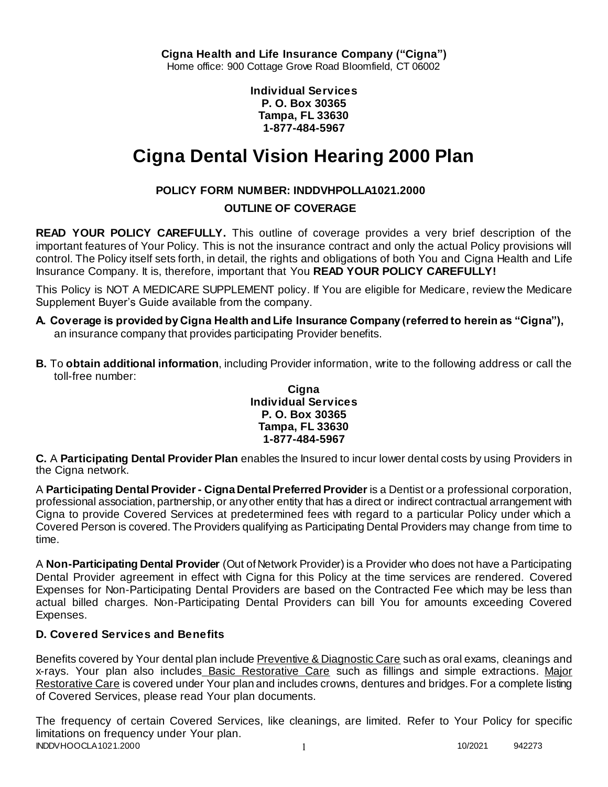**Individual Services P. O. Box 30365 Tampa, FL 33630 1-877-484-5967**

# **Cigna Dental Vision Hearing 2000 Plan**

# **POLICY FORM NUMBER: INDDVHPOLLA1021.2000**

## **OUTLINE OF COVERAGE**

**READ YOUR POLICY CAREFULLY.** This outline of coverage provides a very brief description of the important features of Your Policy. This is not the insurance contract and only the actual Policy provisions will control. The Policy itself sets forth, in detail, the rights and obligations of both You and Cigna Health and Life Insurance Company. It is, therefore, important that You **READ YOUR POLICY CAREFULLY!** 

This Policy is NOT A MEDICARE SUPPLEMENT policy. If You are eligible for Medicare, review the Medicare Supplement Buyer's Guide available from the company.

- **A. Coverage is provided by Cigna Health and Life Insurance Company (referred to herein as "Cigna"),**  an insurance company that provides participating Provider benefits.
- **B.** To **obtain additional information**, including Provider information, write to the following address or call the toll-free number:

#### **Cigna Individual Services P. O. Box 30365 Tampa, FL 33630 1-877-484-5967**

**C.** A **Participating Dental Provider Plan** enables the Insured to incur lower dental costs by using Providers in the Cigna network.

A **Participating Dental Provider - Cigna Dental Preferred Provider** is a Dentist or a professional corporation, professional association, partnership, or any other entity that has a direct or indirect contractual arrangement with Cigna to provide Covered Services at predetermined fees with regard to a particular Policy under which a Covered Person is covered. The Providers qualifying as Participating Dental Providers may change from time to time.

A **Non-Participating Dental Provider** (Out of Network Provider) is a Provider who does not have a Participating Dental Provider agreement in effect with Cigna for this Policy at the time services are rendered. Covered Expenses for Non-Participating Dental Providers are based on the Contracted Fee which may be less than actual billed charges. Non-Participating Dental Providers can bill You for amounts exceeding Covered Expenses.

## **D. Covered Services and Benefits**

Benefits covered by Your dental plan include Preventive & Diagnostic Care such as oral exams, cleanings and x-rays. Your plan also includes Basic Restorative Care such as fillings and simple extractions. Major Restorative Care is covered under Your plan and includes crowns, dentures and bridges. For a complete listing of Covered Services, please read Your plan documents.

INDDVHOOCLA1021.2000 1 2000 1 2000 1 2000 1 2000 1 2000 1 2000 1 2000 1 2000 1 2000 1 2000 1 2000 1 2000 1 200 The frequency of certain Covered Services, like cleanings, are limited. Refer to Your Policy for specific limitations on frequency under Your plan.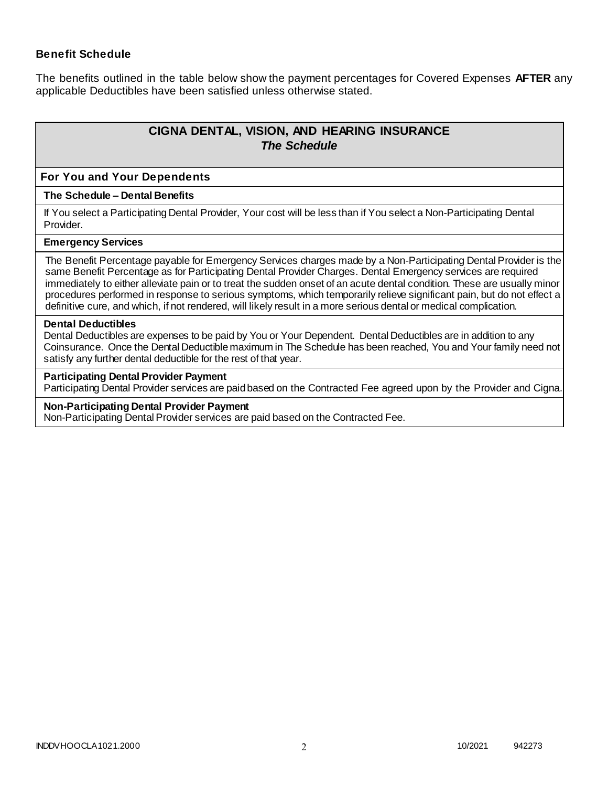### **Benefit Schedule**

The benefits outlined in the table below show the payment percentages for Covered Expenses **AFTER** any applicable Deductibles have been satisfied unless otherwise stated.

# **CIGNA DENTAL, VISION, AND HEARING INSURANCE** *The Schedule*

#### **For You and Your Dependents**

#### **The Schedule – Dental Benefits**

If You select a Participating Dental Provider, Your cost will be less than if You select a Non-Participating Dental Provider.

#### **Emergency Services**

The Benefit Percentage payable for Emergency Services charges made by a Non-Participating Dental Provider is the same Benefit Percentage as for Participating Dental Provider Charges. Dental Emergency services are required immediately to either alleviate pain or to treat the sudden onset of an acute dental condition. These are usually minor procedures performed in response to serious symptoms, which temporarily relieve significant pain, but do not effect a definitive cure, and which, if not rendered, will likely result in a more serious dental or medical complication.

#### **Dental Deductibles**

Dental Deductibles are expenses to be paid by You or Your Dependent. Dental Deductibles are in addition to any Coinsurance. Once the Dental Deductible maximum in The Schedule has been reached, You and Your family need not satisfy any further dental deductible for the rest of that year.

#### **Participating Dental Provider Payment**

Participating Dental Provider services are paid based on the Contracted Fee agreed upon by the Provider and Cigna.

#### **Non-Participating Dental Provider Payment**

Non-Participating Dental Provider services are paid based on the Contracted Fee.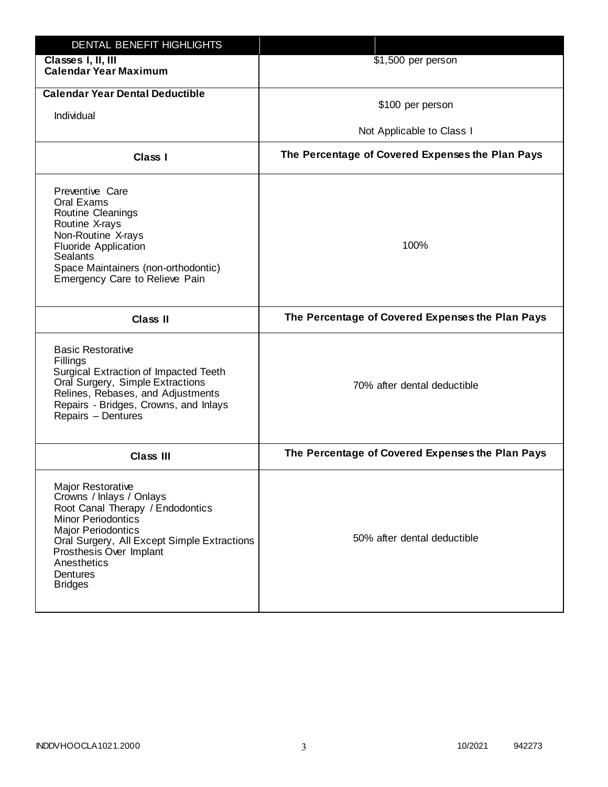| DENTAL BENEFIT HIGHLIGHTS                                                                                                                                                                                                                                          |                                                  |
|--------------------------------------------------------------------------------------------------------------------------------------------------------------------------------------------------------------------------------------------------------------------|--------------------------------------------------|
| Classes I, II, III<br><b>Calendar Year Maximum</b>                                                                                                                                                                                                                 | \$1,500 per person                               |
| <b>Calendar Year Dental Deductible</b><br>Individual                                                                                                                                                                                                               | \$100 per person<br>Not Applicable to Class I    |
| Class I                                                                                                                                                                                                                                                            | The Percentage of Covered Expenses the Plan Pays |
| Preventive Care<br>Oral Exams<br>Routine Cleanings<br>Routine X-rays<br>Non-Routine X-rays<br><b>Fluoride Application</b><br><b>Sealants</b><br>Space Maintainers (non-orthodontic)<br>Emergency Care to Relieve Pain                                              | 100%                                             |
| <b>Class II</b>                                                                                                                                                                                                                                                    | The Percentage of Covered Expenses the Plan Pays |
| <b>Basic Restorative</b><br>Fillings<br>Surgical Extraction of Impacted Teeth<br>Oral Surgery, Simple Extractions<br>Relines, Rebases, and Adjustments<br>Repairs - Bridges, Crowns, and Inlays<br>Repairs - Dentures                                              | 70% after dental deductible                      |
| <b>Class III</b>                                                                                                                                                                                                                                                   | The Percentage of Covered Expenses the Plan Pays |
| Major Restorative<br>Crowns / Inlays / Onlays<br>Root Canal Therapy / Endodontics<br><b>Minor Periodontics</b><br><b>Major Periodontics</b><br>Oral Surgery, All Except Simple Extractions<br>Prosthesis Over Implant<br>Anesthetics<br>Dentures<br><b>Bridges</b> | 50% after dental deductible                      |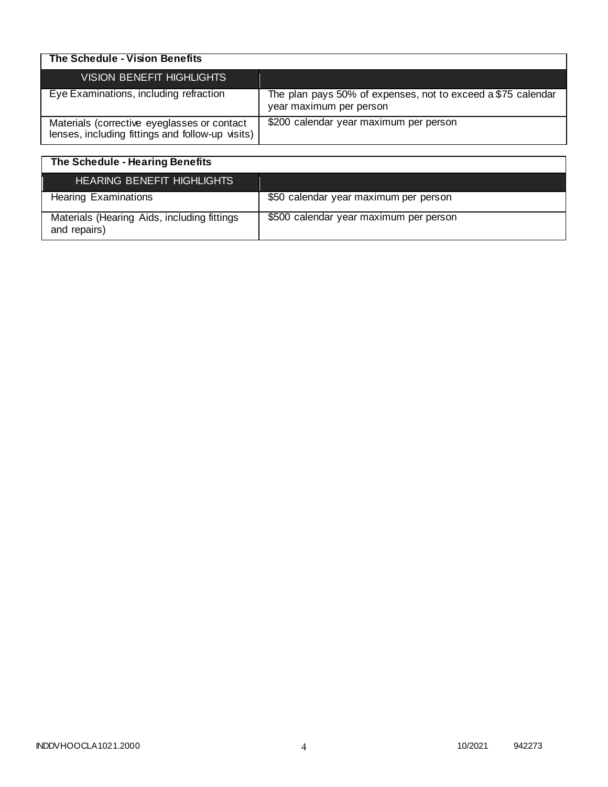| The Schedule - Vision Benefits                                                                  |                                                                                         |
|-------------------------------------------------------------------------------------------------|-----------------------------------------------------------------------------------------|
| VISION BENEFIT HIGHLIGHTS                                                                       |                                                                                         |
| Eye Examinations, including refraction                                                          | The plan pays 50% of expenses, not to exceed a \$75 calendar<br>year maximum per person |
| Materials (corrective eyeglasses or contact<br>lenses, including fittings and follow-up visits) | \$200 calendar year maximum per person                                                  |

| The Schedule - Hearing Benefits                             |                                        |
|-------------------------------------------------------------|----------------------------------------|
| <b>HEARING BENEFIT HIGHLIGHTS</b>                           |                                        |
| <b>Hearing Examinations</b>                                 | \$50 calendar year maximum per person  |
| Materials (Hearing Aids, including fittings<br>and repairs) | \$500 calendar year maximum per person |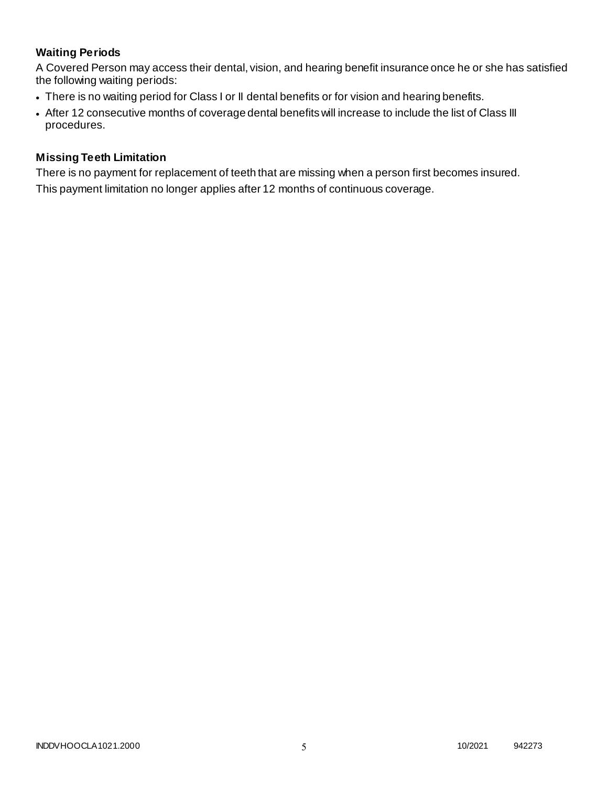# **Waiting Periods**

A Covered Person may access their dental, vision, and hearing benefit insurance once he or she has satisfied the following waiting periods:

- There is no waiting period for Class I or II dental benefits or for vision and hearing benefits.
- After 12 consecutive months of coverage dental benefits will increase to include the list of Class III procedures.

### **Missing Teeth Limitation**

There is no payment for replacement of teeth that are missing when a person first becomes insured. This payment limitation no longer applies after 12 months of continuous coverage.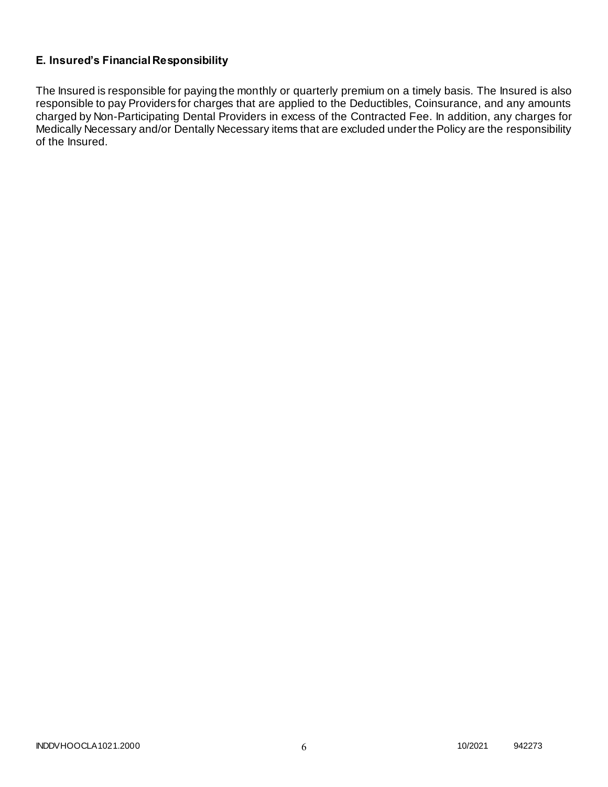# **E. Insured's Financial Responsibility**

The Insured is responsible for paying the monthly or quarterly premium on a timely basis. The Insured is also responsible to pay Providers for charges that are applied to the Deductibles, Coinsurance, and any amounts charged by Non-Participating Dental Providers in excess of the Contracted Fee. In addition, any charges for Medically Necessary and/or Dentally Necessary items that are excluded under the Policy are the responsibility of the Insured.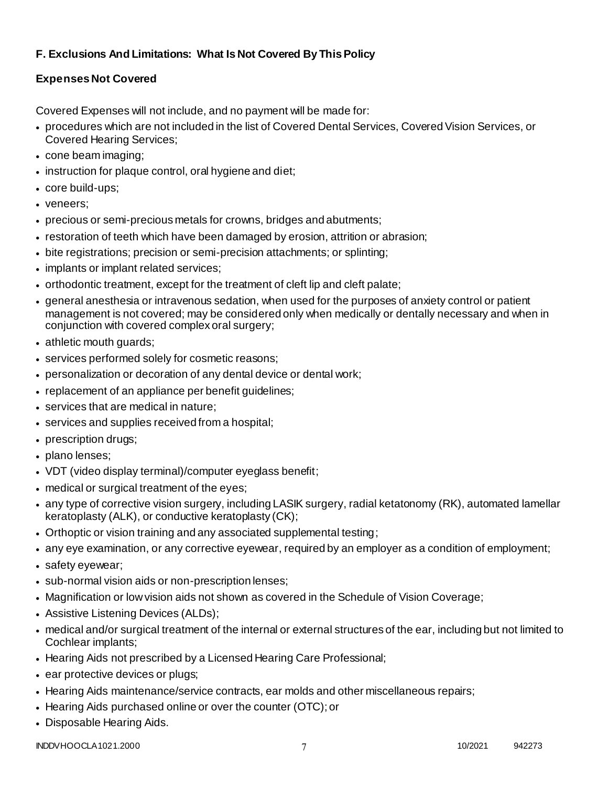# **F. Exclusions And Limitations: What Is Not Covered By This Policy**

# **Expenses Not Covered**

Covered Expenses will not include, and no payment will be made for:

- procedures which are not included in the list of Covered Dental Services, Covered Vision Services, or Covered Hearing Services;
- cone beam imaging;
- instruction for plaque control, oral hygiene and diet;
- core build-ups;
- veneers;
- precious or semi-precious metals for crowns, bridges and abutments;
- restoration of teeth which have been damaged by erosion, attrition or abrasion;
- bite registrations; precision or semi-precision attachments; or splinting;
- implants or implant related services;
- orthodontic treatment, except for the treatment of cleft lip and cleft palate;
- general anesthesia or intravenous sedation, when used for the purposes of anxiety control or patient management is not covered; may be considered only when medically or dentally necessary and when in conjunction with covered complex oral surgery;
- athletic mouth guards;
- services performed solely for cosmetic reasons;
- personalization or decoration of any dental device or dental work;
- replacement of an appliance per benefit guidelines;
- services that are medical in nature:
- services and supplies received from a hospital;
- prescription drugs;
- plano lenses:
- VDT (video display terminal)/computer eyeglass benefit;
- medical or surgical treatment of the eyes;
- any type of corrective vision surgery, including LASIK surgery, radial ketatonomy (RK), automated lamellar keratoplasty (ALK), or conductive keratoplasty (CK);
- Orthoptic or vision training and any associated supplemental testing;
- any eye examination, or any corrective eyewear, required by an employer as a condition of employment;
- safety eyewear;
- sub-normal vision aids or non-prescription lenses;
- Magnification or low vision aids not shown as covered in the Schedule of Vision Coverage;
- Assistive Listening Devices (ALDs);
- medical and/or surgical treatment of the internal or external structures of the ear, including but not limited to Cochlear implants;
- Hearing Aids not prescribed by a Licensed Hearing Care Professional;
- ear protective devices or plugs;
- Hearing Aids maintenance/service contracts, ear molds and other miscellaneous repairs;
- Hearing Aids purchased online or over the counter (OTC); or
- Disposable Hearing Aids.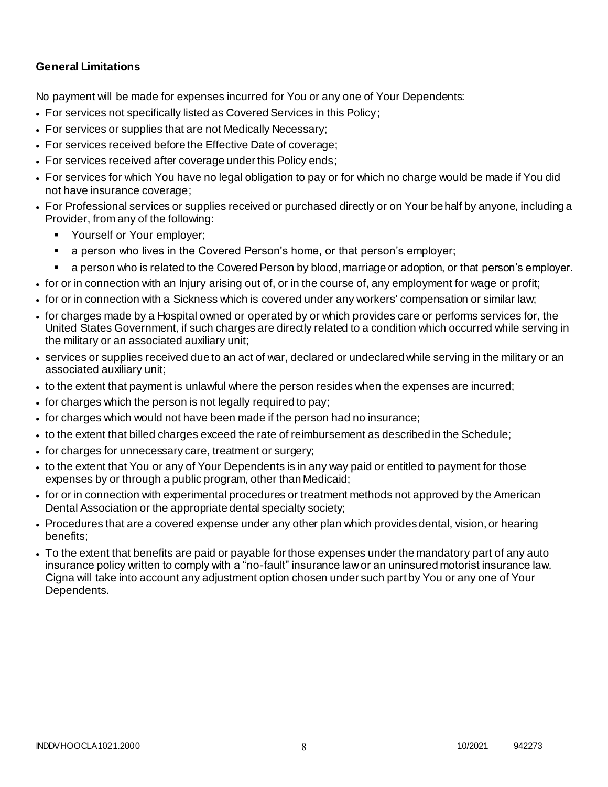### **General Limitations**

No payment will be made for expenses incurred for You or any one of Your Dependents:

- For services not specifically listed as Covered Services in this Policy;
- For services or supplies that are not Medically Necessary;
- For services received before the Effective Date of coverage;
- For services received after coverage under this Policy ends;
- For services for which You have no legal obligation to pay or for which no charge would be made if You did not have insurance coverage;
- For Professional services or supplies received or purchased directly or on Your behalf by anyone, including a Provider, from any of the following:
	- **Yourself or Your employer;**
	- a person who lives in the Covered Person's home, or that person's employer;
	- a person who is related to the Covered Person by blood, marriage or adoption, or that person's employer.
- for or in connection with an Injury arising out of, or in the course of, any employment for wage or profit;
- for or in connection with a Sickness which is covered under any workers' compensation or similar law;
- for charges made by a Hospital owned or operated by or which provides care or performs services for, the United States Government, if such charges are directly related to a condition which occurred while serving in the military or an associated auxiliary unit;
- services or supplies received due to an act of war, declared or undeclared while serving in the military or an associated auxiliary unit;
- to the extent that payment is unlawful where the person resides when the expenses are incurred;
- for charges which the person is not legally required to pay;
- for charges which would not have been made if the person had no insurance;
- to the extent that billed charges exceed the rate of reimbursement as described in the Schedule;
- for charges for unnecessary care, treatment or surgery;
- to the extent that You or any of Your Dependents is in any way paid or entitled to payment for those expenses by or through a public program, other than Medicaid;
- for or in connection with experimental procedures or treatment methods not approved by the American Dental Association or the appropriate dental specialty society;
- Procedures that are a covered expense under any other plan which provides dental, vision, or hearing benefits;
- To the extent that benefits are paid or payable for those expenses under the mandatory part of any auto insurance policy written to comply with a "no-fault" insurance law or an uninsured motorist insurance law. Cigna will take into account any adjustment option chosen under such part by You or any one of Your Dependents.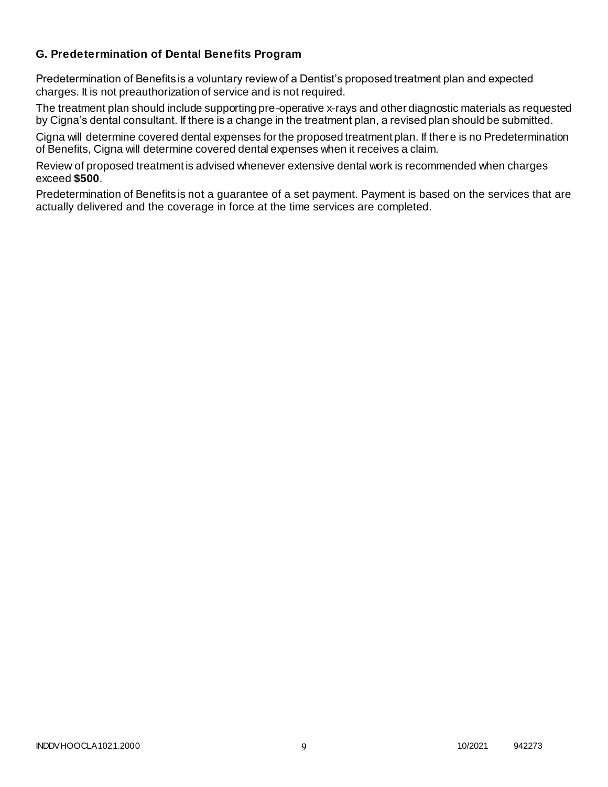### **G. Predetermination of Dental Benefits Program**

Predetermination of Benefits is a voluntary review of a Dentist's proposed treatment plan and expected charges. It is not preauthorization of service and is not required.

The treatment plan should include supporting pre-operative x-rays and other diagnostic materials as requested by Cigna's dental consultant. If there is a change in the treatment plan, a revised plan should be submitted.

Cigna will determine covered dental expenses for the proposed treatment plan. If there is no Predetermination of Benefits, Cigna will determine covered dental expenses when it receives a claim.

Review of proposed treatment is advised whenever extensive dental work is recommended when charges exceed **\$500**.

Predetermination of Benefits is not a guarantee of a set payment. Payment is based on the services that are actually delivered and the coverage in force at the time services are completed.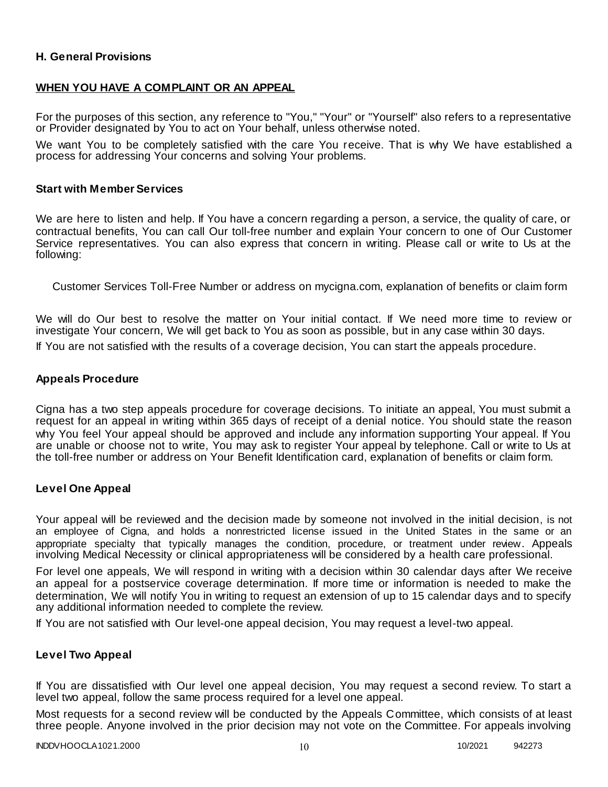### **H. General Provisions**

### **WHEN YOU HAVE A COMPLAINT OR AN APPEAL**

For the purposes of this section, any reference to "You," "Your" or "Yourself" also refers to a representative or Provider designated by You to act on Your behalf, unless otherwise noted.

We want You to be completely satisfied with the care You receive. That is why We have established a process for addressing Your concerns and solving Your problems.

#### **Start with Member Services**

We are here to listen and help. If You have a concern regarding a person, a service, the quality of care, or contractual benefits, You can call Our toll-free number and explain Your concern to one of Our Customer Service representatives. You can also express that concern in writing. Please call or write to Us at the following:

Customer Services Toll-Free Number or address on mycigna.com, explanation of benefits or claim form

We will do Our best to resolve the matter on Your initial contact. If We need more time to review or investigate Your concern, We will get back to You as soon as possible, but in any case within 30 days.

If You are not satisfied with the results of a coverage decision, You can start the appeals procedure.

#### **Appeals Procedure**

Cigna has a two step appeals procedure for coverage decisions. To initiate an appeal, You must submit a request for an appeal in writing within 365 days of receipt of a denial notice. You should state the reason why You feel Your appeal should be approved and include any information supporting Your appeal. If You are unable or choose not to write, You may ask to register Your appeal by telephone. Call or write to Us at the toll-free number or address on Your Benefit Identification card, explanation of benefits or claim form.

#### **Level One Appeal**

Your appeal will be reviewed and the decision made by someone not involved in the initial decision, is not an employee of Cigna, and holds a nonrestricted license issued in the United States in the same or an appropriate specialty that typically manages the condition, procedure, or treatment under review. Appeals involving Medical Necessity or clinical appropriateness will be considered by a health care professional.

For level one appeals, We will respond in writing with a decision within 30 calendar days after We receive an appeal for a postservice coverage determination. If more time or information is needed to make the determination, We will notify You in writing to request an extension of up to 15 calendar days and to specify any additional information needed to complete the review.

If You are not satisfied with Our level-one appeal decision, You may request a level-two appeal.

#### **Level Two Appeal**

If You are dissatisfied with Our level one appeal decision, You may request a second review. To start a level two appeal, follow the same process required for a level one appeal.

Most requests for a second review will be conducted by the Appeals Committee, which consists of at least three people. Anyone involved in the prior decision may not vote on the Committee. For appeals involving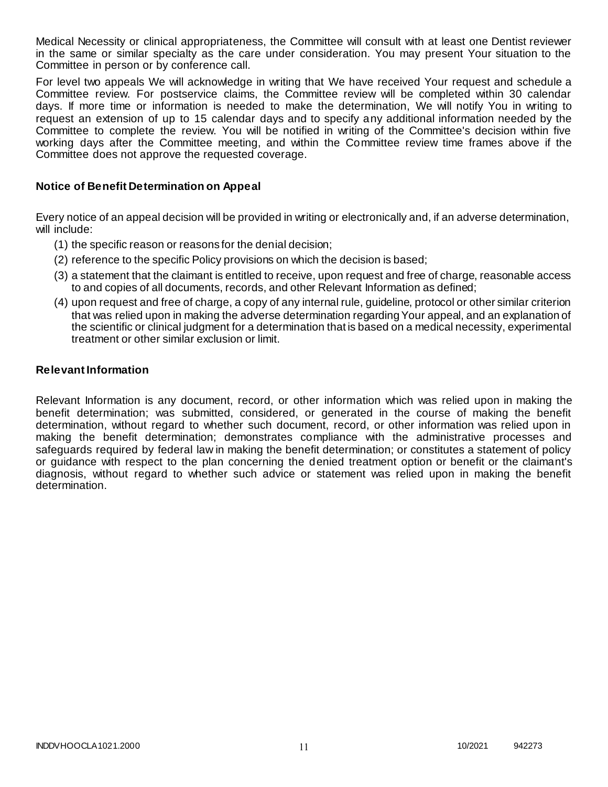Medical Necessity or clinical appropriateness, the Committee will consult with at least one Dentist reviewer in the same or similar specialty as the care under consideration. You may present Your situation to the Committee in person or by conference call.

For level two appeals We will acknowledge in writing that We have received Your request and schedule a Committee review. For postservice claims, the Committee review will be completed within 30 calendar days. If more time or information is needed to make the determination, We will notify You in writing to request an extension of up to 15 calendar days and to specify any additional information needed by the Committee to complete the review. You will be notified in writing of the Committee's decision within five working days after the Committee meeting, and within the Committee review time frames above if the Committee does not approve the requested coverage.

### **Notice of Benefit Determination on Appeal**

Every notice of an appeal decision will be provided in writing or electronically and, if an adverse determination, will include:

- (1) the specific reason or reasons for the denial decision;
- (2) reference to the specific Policy provisions on which the decision is based;
- (3) a statement that the claimant is entitled to receive, upon request and free of charge, reasonable access to and copies of all documents, records, and other Relevant Information as defined;
- (4) upon request and free of charge, a copy of any internal rule, guideline, protocol or other similar criterion that was relied upon in making the adverse determination regarding Your appeal, and an explanation of the scientific or clinical judgment for a determination that is based on a medical necessity, experimental treatment or other similar exclusion or limit.

#### **Relevant Information**

Relevant Information is any document, record, or other information which was relied upon in making the benefit determination; was submitted, considered, or generated in the course of making the benefit determination, without regard to whether such document, record, or other information was relied upon in making the benefit determination; demonstrates compliance with the administrative processes and safeguards required by federal law in making the benefit determination; or constitutes a statement of policy or guidance with respect to the plan concerning the denied treatment option or benefit or the claimant's diagnosis, without regard to whether such advice or statement was relied upon in making the benefit determination.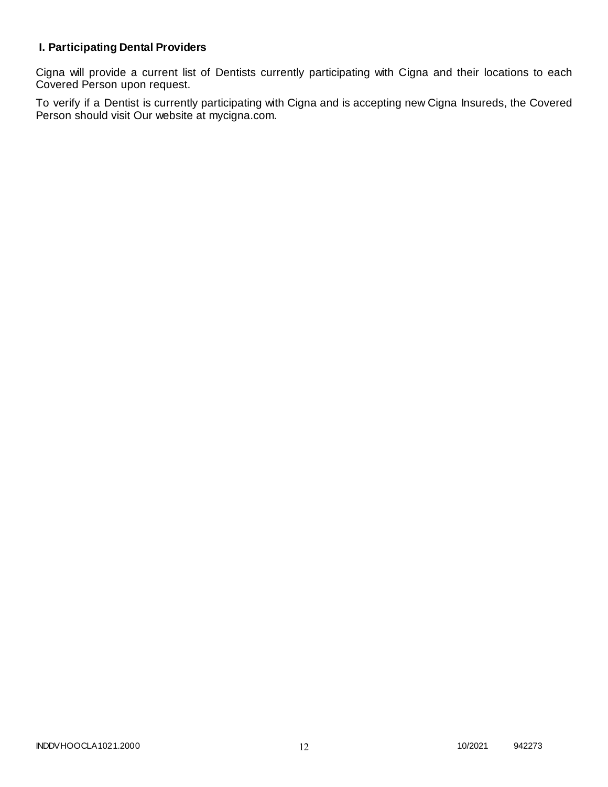# **I. Participating Dental Providers**

Cigna will provide a current list of Dentists currently participating with Cigna and their locations to each Covered Person upon request.

To verify if a Dentist is currently participating with Cigna and is accepting new Cigna Insureds, the Covered Person should visit Our website at mycigna.com.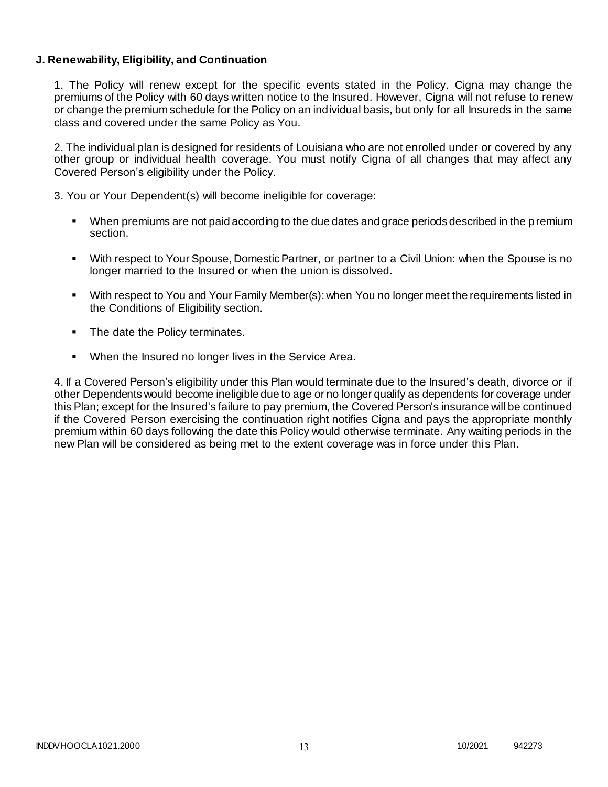### **J. Renewability, Eligibility, and Continuation**

1. The Policy will renew except for the specific events stated in the Policy. Cigna may change the premiums of the Policy with 60 days written notice to the Insured. However, Cigna will not refuse to renew or change the premium schedule for the Policy on an individual basis, but only for all Insureds in the same class and covered under the same Policy as You.

2. The individual plan is designed for residents of Louisiana who are not enrolled under or covered by any other group or individual health coverage. You must notify Cigna of all changes that may affect any Covered Person's eligibility under the Policy.

3. You or Your Dependent(s) will become ineligible for coverage:

- When premiums are not paid according to the due dates and grace periods described in the premium section.
- With respect to Your Spouse, Domestic Partner, or partner to a Civil Union: when the Spouse is no longer married to the Insured or when the union is dissolved.
- With respect to You and Your Family Member(s): when You no longer meet the requirements listed in the Conditions of Eligibility section.
- The date the Policy terminates.
- When the Insured no longer lives in the Service Area.

4. If a Covered Person's eligibility under this Plan would terminate due to the Insured's death, divorce or if other Dependents would become ineligible due to age or no longer qualify as dependents for coverage under this Plan; except for the Insured's failure to pay premium, the Covered Person's insurance will be continued if the Covered Person exercising the continuation right notifies Cigna and pays the appropriate monthly premium within 60 days following the date this Policy would otherwise terminate. Any waiting periods in the new Plan will be considered as being met to the extent coverage was in force under this Plan.